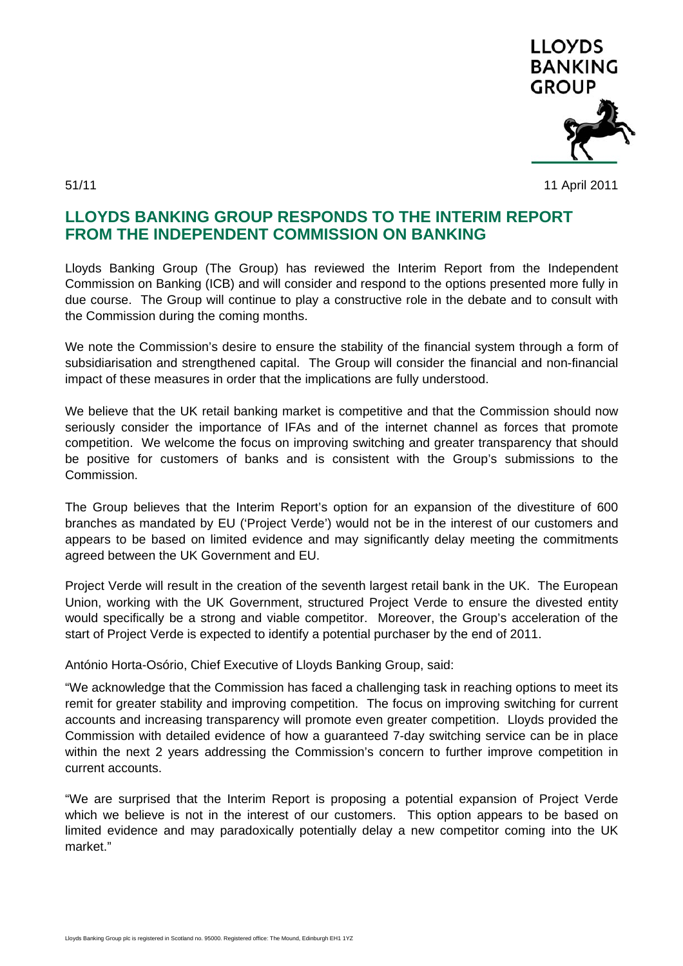

51/11 11 April 2011

## **LLOYDS BANKING GROUP RESPONDS TO THE INTERIM REPORT FROM THE INDEPENDENT COMMISSION ON BANKING**

Lloyds Banking Group (The Group) has reviewed the Interim Report from the Independent Commission on Banking (ICB) and will consider and respond to the options presented more fully in due course. The Group will continue to play a constructive role in the debate and to consult with the Commission during the coming months.

We note the Commission's desire to ensure the stability of the financial system through a form of subsidiarisation and strengthened capital. The Group will consider the financial and non-financial impact of these measures in order that the implications are fully understood.

We believe that the UK retail banking market is competitive and that the Commission should now seriously consider the importance of IFAs and of the internet channel as forces that promote competition. We welcome the focus on improving switching and greater transparency that should be positive for customers of banks and is consistent with the Group's submissions to the Commission.

The Group believes that the Interim Report's option for an expansion of the divestiture of 600 branches as mandated by EU ('Project Verde') would not be in the interest of our customers and appears to be based on limited evidence and may significantly delay meeting the commitments agreed between the UK Government and EU.

Project Verde will result in the creation of the seventh largest retail bank in the UK. The European Union, working with the UK Government, structured Project Verde to ensure the divested entity would specifically be a strong and viable competitor. Moreover, the Group's acceleration of the start of Project Verde is expected to identify a potential purchaser by the end of 2011.

António Horta-Osório, Chief Executive of Lloyds Banking Group, said:

"We acknowledge that the Commission has faced a challenging task in reaching options to meet its remit for greater stability and improving competition. The focus on improving switching for current accounts and increasing transparency will promote even greater competition. Lloyds provided the Commission with detailed evidence of how a guaranteed 7-day switching service can be in place within the next 2 years addressing the Commission's concern to further improve competition in current accounts.

"We are surprised that the Interim Report is proposing a potential expansion of Project Verde which we believe is not in the interest of our customers. This option appears to be based on limited evidence and may paradoxically potentially delay a new competitor coming into the UK market."